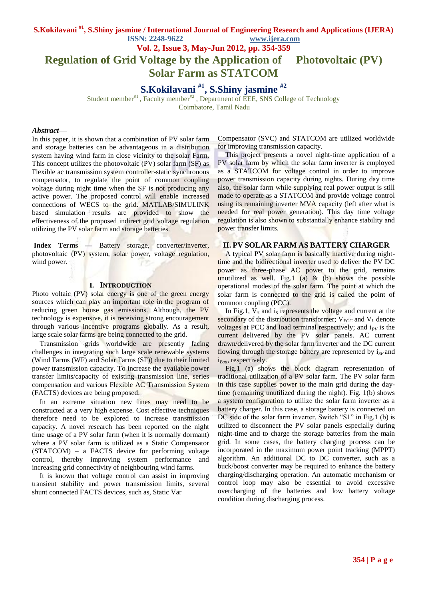**S.Kokilavani #1, S.Shiny jasmine / International Journal of Engineering Research and Applications (IJERA)** 

# **ISSN: 2248-9622 www.ijera.com Vol. 2, Issue 3, May-Jun 2012, pp. 354-359 Regulation of Grid Voltage by the Application of Photovoltaic (PV) Solar Farm as STATCOM**

**S.Kokilavani #1, S.Shiny jasmine #2**

Student member $*$ <sup>1</sup>, Faculty member<sup>#2</sup>, Department of EEE, SNS College of Technology Coimbatore, Tamil Nadu

#### *Abstract*—

In this paper, it is shown that a combination of PV solar farm and storage batteries can be advantageous in a distribution system having wind farm in close vicinity to the solar Farm. This concept utilizes the photovoltaic (PV) solar farm (SF) as Flexible ac transmission system controller-static synchronous compensator, to regulate the point of common coupling voltage during night time when the SF is not producing any active power. The proposed control will enable increased connections of WECS to the grid. MATLAB/SIMULINK based simulation results are provided to show the effectiveness of the proposed indirect grid voltage regulation utilizing the PV solar farm and storage batteries.

**Index Terms —** Battery storage, converter/inverter, photovoltaic (PV) system, solar power, voltage regulation, wind power.

#### **I. INTRODUCTION**

Photo voltaic (PV) solar energy is one of the green energy sources which can play an important role in the program of reducing green house gas emissions. Although, the PV technology is expensive, it is receiving strong encouragement through various incentive programs globally. As a result, large scale solar farms are being connected to the grid.

Transmission grids worldwide are presently facing challenges in integrating such large scale renewable systems (Wind Farms (WF) and Solar Farms (SF)) due to their limited power transmission capacity. To increase the available power transfer limits/capacity of existing transmission line, series compensation and various Flexible AC Transmission System (FACTS) devices are being proposed.

In an extreme situation new lines may need to be constructed at a very high expense. Cost effective techniques therefore need to be explored to increase transmission capacity. A novel research has been reported on the night time usage of a PV solar farm (when it is normally dormant) where a PV solar farm is utilized as a Static Compensator (STATCOM) – a FACTS device for performing voltage control, thereby improving system performance and increasing grid connectivity of neighbouring wind farms.

It is known that voltage control can assist in improving transient stability and power transmission limits, several shunt connected FACTS devices, such as, Static Var

Compensator (SVC) and STATCOM are utilized worldwide for improving transmission capacity.

This project presents a novel night-time application of a PV solar farm by which the solar farm inverter is employed as a STATCOM for voltage control in order to improve power transmission capacity during nights. During day time also, the solar farm while supplying real power output is still made to operate as a STATCOM and provide voltage control using its remaining inverter MVA capacity (left after what is needed for real power generation). This day time voltage regulation is also shown to substantially enhance stability and power transfer limits.

#### **II. PV SOLAR FARM AS BATTERY CHARGER**

A typical PV solar farm is basically inactive during nighttime and the bidirectional inverter used to deliver the PV DC power as three-phase AC power to the grid, remains unutilized as well. Fig.1 (a)  $\&$  (b) shows the possible operational modes of the solar farm. The point at which the solar farm is connected to the grid is called the point of common coupling (PCC).

In Fig.1,  $V_s$  and  $i<sub>S</sub>$  represents the voltage and current at the secondary of the distribution transformer;  $V_{PCC}$  and  $V_L$  denote voltages at PCC and load terminal respectively; and  $i_{PV}$  is the current delivered by the PV solar panels. AC current drawn/delivered by the solar farm inverter and the DC current flowing through the storage battery are represented by i*SF* and i*Batt*, respectively.

Fig.1 (a) shows the block diagram representation of traditional utilization of a PV solar farm. The PV solar farm in this case supplies power to the main grid during the daytime (remaining unutilized during the night). Fig. 1(b) shows a system configuration to utilize the solar farm inverter as a battery charger. In this case, a storage battery is connected on DC side of the solar farm inverter. Switch "S1" in Fig.1 (b) is utilized to disconnect the PV solar panels especially during night-time and to charge the storage batteries from the main grid. In some cases, the battery charging process can be incorporated in the maximum power point tracking (MPPT) algorithm. An additional DC to DC converter, such as a buck/boost converter may be required to enhance the battery charging/discharging operation. An automatic mechanism or control loop may also be essential to avoid excessive overcharging of the batteries and low battery voltage condition during discharging process.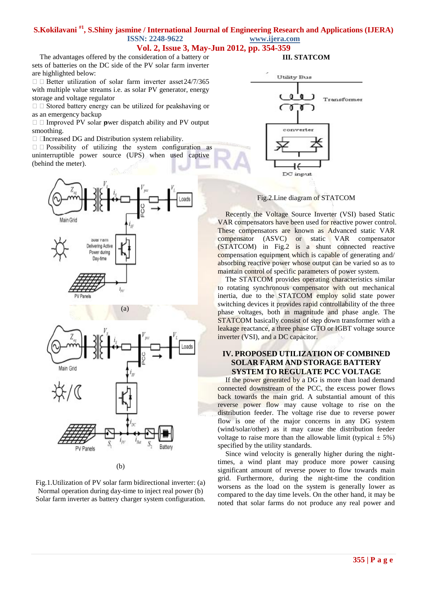# **S.Kokilavani #1, S.Shiny jasmine / International Journal of Engineering Research and Applications (IJERA) ISSN: 2248-9622 www.ijera.com**

## **Vol. 2, Issue 3, May-Jun 2012, pp. 354-359**

The advantages offered by the consideration of a battery or sets of batteries on the DC side of the PV solar farm inverter are highlighted below:

 $\Box$  Better utilization of solar farm inverter asset 24/7/365 with multiple value streams i.e. as solar PV generator, energy storage and voltage regulator

 $\Box$   $\Box$  Stored battery energy can be utilized for peakshaving or as an emergency backup

 $\Box$  Improved PV solar pwer dispatch ability and PV output smoothing.

 $\Box$   $\Box$  Increased DG and Distribution system reliability.

 $\Box$  Possibility of utilizing the system configuration as uninterruptible power source (UPS) when used captive (behind the meter).



Fig.1.Utilization of PV solar farm bidirectional inverter: (a) Normal operation during day-time to inject real power (b) Solar farm inverter as battery charger system configuration.

# **III. STATCOM**



## Fig.2.Line diagram of STATCOM

Recently the Voltage Source Inverter (VSI) based Static VAR compensators have been used for reactive power control. These compensators are known as Advanced static VAR compensator (ASVC) or static VAR compensator (STATCOM) in Fig.2 is a shunt connected reactive compensation equipment which is capable of generating and/ absorbing reactive power whose output can be varied so as to maintain control of specific parameters of power system.

The STATCOM provides operating characteristics similar to rotating synchronous compensator with out mechanical inertia, due to the STATCOM employ solid state power switching devices it provides rapid controllability of the three phase voltages, both in magnitude and phase angle. The STATCOM basically consist of step down transformer with a leakage reactance, a three phase GTO or IGBT voltage source inverter (VSI), and a DC capacitor.

### **IV. PROPOSED UTILIZATION OF COMBINED SOLAR FARM AND STORAGE BATTERY SYSTEM TO REGULATE PCC VOLTAGE**

If the power generated by a DG is more than load demand connected downstream of the PCC, the excess power flows back towards the main grid. A substantial amount of this reverse power flow may cause voltage to rise on the distribution feeder. The voltage rise due to reverse power flow is one of the major concerns in any DG system (wind/solar/other) as it may cause the distribution feeder voltage to raise more than the allowable limit (typical  $\pm$  5%) specified by the utility standards.

Since wind velocity is generally higher during the nighttimes, a wind plant may produce more power causing significant amount of reverse power to flow towards main grid. Furthermore, during the night-time the condition worsens as the load on the system is generally lower as compared to the day time levels. On the other hand, it may be noted that solar farms do not produce any real power and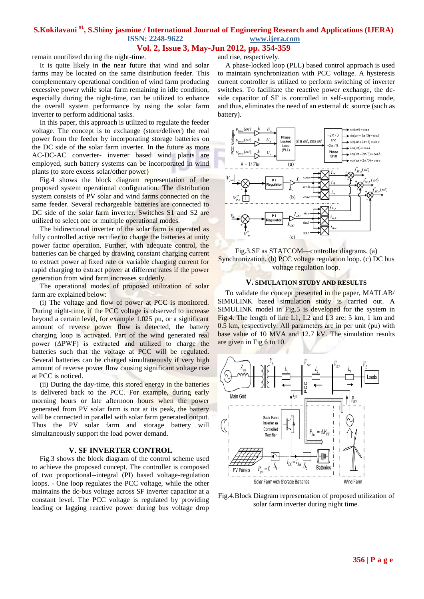### **S.Kokilavani #1, S.Shiny jasmine / International Journal of Engineering Research and Applications (IJERA) ISSN: 2248-9622 www.ijera.com**

#### **Vol. 2, Issue 3, May-Jun 2012, pp. 354-359** and rise, respectively.

remain unutilized during the night-time.

It is quite likely in the near future that wind and solar farms may be located on the same distribution feeder. This complementary operational condition of wind farm producing excessive power while solar farm remaining in idle condition, especially during the night-time, can be utilized to enhance the overall system performance by using the solar farm inverter to perform additional tasks.

In this paper, this approach is utilized to regulate the feeder voltage. The concept is to exchange (store/deliver) the real power from the feeder by incorporating storage batteries on the DC side of the solar farm inverter. In the future as more AC-DC-AC converter- inverter based wind plants are employed, such battery systems can be incorporated in wind plants (to store excess solar/other power)

Fig.4 shows the block diagram representation of the proposed system operational configuration. The distribution system consists of PV solar and wind farms connected on the same feeder. Several rechargeable batteries are connected to DC side of the solar farm inverter. Switches S1 and S2 are utilized to select one or multiple operational modes.

The bidirectional inverter of the solar farm is operated as fully controlled active rectifier to charge the batteries at unity power factor operation. Further, with adequate control, the batteries can be charged by drawing constant charging current to extract power at fixed rate or variable charging current for rapid charging to extract power at different rates if the power generation from wind farm increases suddenly.

The operational modes of proposed utilization of solar farm are explained below:

(i) The voltage and flow of power at PCC is monitored. During night-time, if the PCC voltage is observed to increase beyond a certain level, for example 1.025 pu, or a significant amount of reverse power flow is detected, the battery charging loop is activated. Part of the wind generated real power (ΔPWF) is extracted and utilized to charge the batteries such that the voltage at PCC will be regulated. Several batteries can be charged simultaneously if very high amount of reverse power flow causing significant voltage rise at PCC is noticed.

(ii) During the day-time, this stored energy in the batteries is delivered back to the PCC. For example, during early morning hours or late afternoon hours when the power generated from PV solar farm is not at its peak, the battery will be connected in parallel with solar farm generated output. Thus the PV solar farm and storage battery will simultaneously support the load power demand.

#### **V. SF INVERTER CONTROL**

Fig.3 shows the block diagram of the control scheme used to achieve the proposed concept. The controller is composed of two proportional--integral (PI) based voltage-regulation loops. - One loop regulates the PCC voltage, while the other maintains the dc-bus voltage across SF inverter capacitor at a constant level. The PCC voltage is regulated by providing leading or lagging reactive power during bus voltage drop

A phase-locked loop (PLL) based control approach is used to maintain synchronization with PCC voltage. A hysteresis current controller is utilized to perform switching of inverter switches. To facilitate the reactive power exchange, the dcside capacitor of SF is controlled in self-supporting mode, and thus, eliminates the need of an external dc source (such as battery).



Fig.3.SF as STATCOM—controller diagrams. (a) Synchronization. (b) PCC voltage regulation loop. (c) DC bus voltage regulation loop.

#### **V. SIMULATION STUDY AND RESULTS**

To validate the concept presented in the paper, MATLAB/ SIMULINK based simulation study is carried out. A SIMULINK model in Fig.5 is developed for the system in Fig.4. The length of line L1, L2 and L3 are: 5 km, 1 km and 0.5 km, respectively. All parameters are in per unit (pu) with base value of 10 MVA and 12.7 kV. The simulation results are given in Fig 6 to 10.



Fig.4.Block Diagram representation of proposed utilization of solar farm inverter during night time.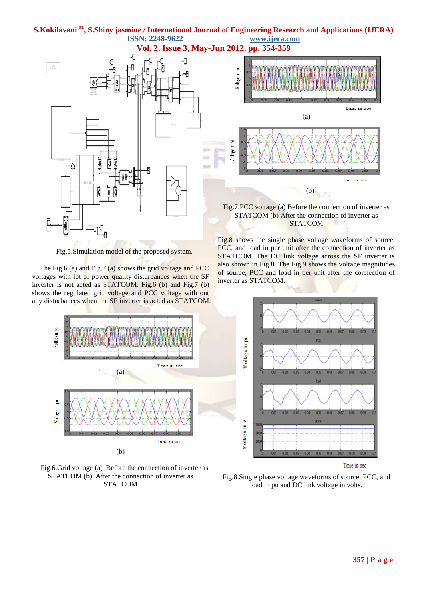## **S.Kokilavani #1, S.Shiny jasmine / International Journal of Engineering Research and Applications (IJERA) ISSN: 2248-9622 www.ijera.com**





Fig.5.Simulation model of the proposed system.

The Fig.6 (a) and Fig.7 (a) shows the grid voltage and PCC voltages with lot of power quality disturbances when the SF inverter is not acted as STATCOM. Fig.6 (b) and Fig.7 (b) shows the regulated grid voltage and PCC voltage with out any disturbances when the SF inverter is acted as STATCOM.



Fig.7.PCC voltage (a) Before the connection of inverter as STATCOM (b) After the connection of inverter as **STATCOM** 

Fig.8 shows the single phase voltage waveforms of source, PCC, and load in per unit after the connection of inverter as STATCOM. The DC link voltage across the SF inverter is also shown in Fig.8. The Fig.9 shows the voltage magnitudes of source, PCC and load in per unit after the connection of inverter as STATCOM.







Fig.8.Single phase voltage waveforms of source, PCC, and load in pu and DC link voltage in volts.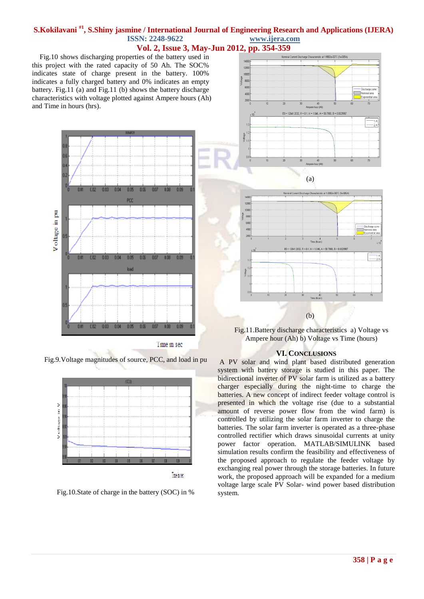

Fig.10 shows discharging properties of the battery used in this project with the rated capacity of 50 Ah. The SOC% indicates state of charge present in the battery. 100% indicates a fully charged battery and 0% indicates an empty battery. Fig.11 (a) and Fig.11 (b) shows the battery discharge characteristics with voltage plotted against Ampere hours (Ah) and Time in hours (hrs).



Fig.9.Voltage magnitudes of source, PCC, and load in pu



Fig.10.State of charge in the battery (SOC) in %



Fig.11.Battery discharge characteristics a) Voltage vs Ampere hour (Ah) b) Voltage vs Time (hours)

#### **VI. CONCLUSIONS**

A PV solar and wind plant based distributed generation system with battery storage is studied in this paper. The bidirectional inverter of PV solar farm is utilized as a battery charger especially during the night-time to charge the batteries. A new concept of indirect feeder voltage control is presented in which the voltage rise (due to a substantial amount of reverse power flow from the wind farm) is controlled by utilizing the solar farm inverter to charge the batteries. The solar farm inverter is operated as a three-phase controlled rectifier which draws sinusoidal currents at unity power factor operation. MATLAB/SIMULINK based simulation results confirm the feasibility and effectiveness of the proposed approach to regulate the feeder voltage by exchanging real power through the storage batteries. In future work, the proposed approach will be expanded for a medium voltage large scale PV Solar- wind power based distribution system.